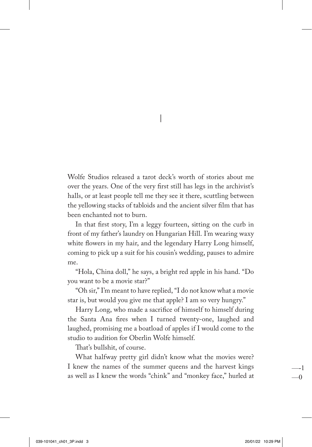Wolfe Studios released a tarot deck's worth of stories about me over the years. One of the very first still has legs in the archivist's halls, or at least people tell me they see it there, scuttling between the yellowing stacks of tabloids and the ancient silver film that has been enchanted not to burn.

I

In that first story, I'm a leggy fourteen, sitting on the curb in front of my father's laundry on Hungarian Hill. I'm wearing waxy white flowers in my hair, and the legendary Harry Long himself, coming to pick up a suit for his cousin's wedding, pauses to admire me.

"Hola, China doll," he says, a bright red apple in his hand. "Do you want to be a movie star?"

"Oh sir," I'm meant to have replied, "I do not know what a movie star is, but would you give me that apple? I am so very hungry."

Harry Long, who made a sacrifice of himself to himself during the Santa Ana fires when I turned twenty-one, laughed and laughed, promising me a boatload of apples if I would come to the studio to audition for Oberlin Wolfe himself.

That's bullshit, of course.

What halfway pretty girl didn't know what the movies were? I knew the names of the summer queens and the harvest kings as well as I knew the words "chink" and "monkey face," hurled at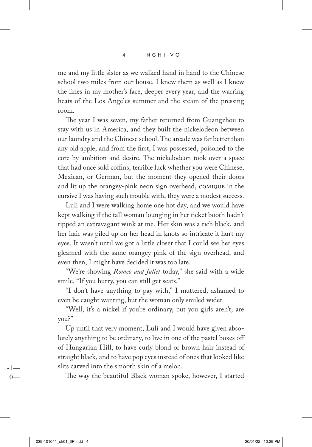## 4 N G H I V O

me and my little sister as we walked hand in hand to the Chinese school two miles from our house. I knew them as well as I knew the lines in my mother's face, deeper every year, and the warring heats of the Los Angeles summer and the steam of the pressing room.

The year I was seven, my father returned from Guangzhou to stay with us in America, and they built the nickelodeon between our laundry and the Chinese school. The arcade was far better than any old apple, and from the first, I was possessed, poisoned to the core by ambition and desire. The nickelodeon took over a space that had once sold coffins, terrible luck whether you were Chinese, Mexican, or German, but the moment they opened their doors and lit up the orangey-pink neon sign overhead, comique in the cursive I was having such trouble with, they were a modest success.

Luli and I were walking home one hot day, and we would have kept walking if the tall woman lounging in her ticket booth hadn't tipped an extravagant wink at me. Her skin was a rich black, and her hair was piled up on her head in knots so intricate it hurt my eyes. It wasn't until we got a little closer that I could see her eyes gleamed with the same orangey-pink of the sign overhead, and even then, I might have decided it was too late.

"We're showing *Romeo and Juliet* today," she said with a wide smile. "If you hurry, you can still get seats."

"I don't have anything to pay with," I muttered, ashamed to even be caught wanting, but the woman only smiled wider.

"Well, it's a nickel if you're ordinary, but you girls aren't, are you?"

Up until that very moment, Luli and I would have given absolutely anything to be ordinary, to live in one of the pastel boxes off of Hungarian Hill, to have curly blond or brown hair instead of straight black, and to have pop eyes instead of ones that looked like slits carved into the smooth skin of a melon.

The way the beautiful Black woman spoke, however, I started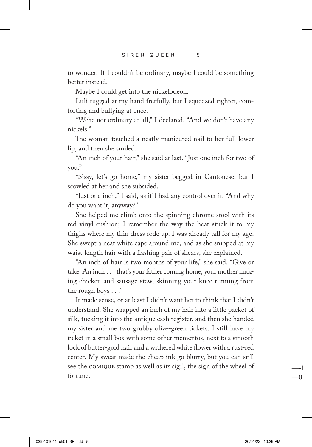to wonder. If I couldn't be ordinary, maybe I could be something better instead.

Maybe I could get into the nickelodeon.

Luli tugged at my hand fretfully, but I squeezed tighter, comforting and bullying at once.

"We're not ordinary at all," I declared. "And we don't have any nickels."

The woman touched a neatly manicured nail to her full lower lip, and then she smiled.

"An inch of your hair," she said at last. "Just one inch for two of you."

"Sissy, let's go home," my sister begged in Cantonese, but I scowled at her and she subsided.

"Just one inch," I said, as if I had any control over it. "And why do you want it, anyway?"

She helped me climb onto the spinning chrome stool with its red vinyl cushion; I remember the way the heat stuck it to my thighs where my thin dress rode up. I was already tall for my age. She swept a neat white cape around me, and as she snipped at my waist-length hair with a flashing pair of shears, she explained.

"An inch of hair is two months of your life," she said. "Give or take. An inch . . . that's your father coming home, your mother making chicken and sausage stew, skinning your knee running from the rough boys . . ."

It made sense, or at least I didn't want her to think that I didn't understand. She wrapped an inch of my hair into a little packet of silk, tucking it into the antique cash register, and then she handed my sister and me two grubby olive-green tickets. I still have my ticket in a small box with some other mementos, next to a smooth lock of butter-gold hair and a withered white flower with a rust-red center. My sweat made the cheap ink go blurry, but you can still see the comique stamp as well as its sigil, the sign of the wheel of fortune.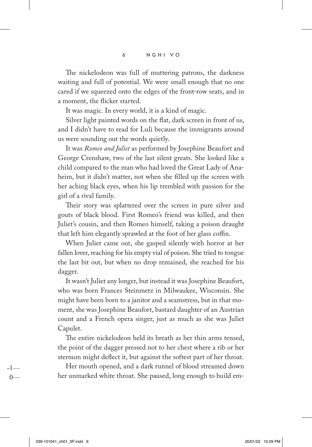The nickelodeon was full of muttering patrons, the darkness waiting and full of potential. We were small enough that no one cared if we squeezed onto the edges of the front-row seats, and in a moment, the flicker started.

It was magic. In every world, it is a kind of magic.

Silver light painted words on the flat, dark screen in front of us, and I didn't have to read for Luli because the immigrants around us were sounding out the words quietly.

It was *Romeo and Juliet* as performed by Josephine Beaufort and George Crenshaw, two of the last silent greats. She looked like a child compared to the man who had loved the Great Lady of Anaheim, but it didn't matter, not when she filled up the screen with her aching black eyes, when his lip trembled with passion for the girl of a rival family.

Their story was splattered over the screen in pure silver and gouts of black blood. First Romeo's friend was killed, and then Juliet's cousin, and then Romeo himself, taking a poison draught that left him elegantly sprawled at the foot of her glass coffin.

When Juliet came out, she gasped silently with horror at her fallen lover, reaching for his empty vial of poison. She tried to tongue the last bit out, but when no drop remained, she reached for his dagger.

It wasn't Juliet any longer, but instead it was Josephine Beaufort, who was born Frances Steinmetz in Milwaukee, Wisconsin. She might have been born to a janitor and a seamstress, but in that moment, she was Josephine Beaufort, bastard daughter of an Austrian count and a French opera singer, just as much as she was Juliet Capulet.

The entire nickelodeon held its breath as her thin arms tensed, the point of the dagger pressed not to her chest where a rib or her sternum might deflect it, but against the softest part of her throat.

Her mouth opened, and a dark runnel of blood streamed down her unmarked white throat. She paused, long enough to build em-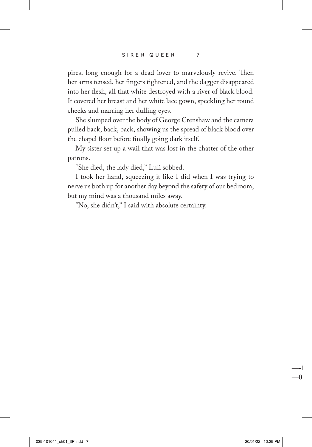pires, long enough for a dead lover to marvelously revive. Then her arms tensed, her fingers tightened, and the dagger disappeared into her flesh, all that white destroyed with a river of black blood. It covered her breast and her white lace gown, speckling her round cheeks and marring her dulling eyes.

She slumped over the body of George Crenshaw and the camera pulled back, back, back, showing us the spread of black blood over the chapel floor before finally going dark itself.

My sister set up a wail that was lost in the chatter of the other patrons.

"She died, the lady died," Luli sobbed.

I took her hand, squeezing it like I did when I was trying to nerve us both up for another day beyond the safety of our bedroom, but my mind was a thousand miles away.

"No, she didn't," I said with absolute certainty.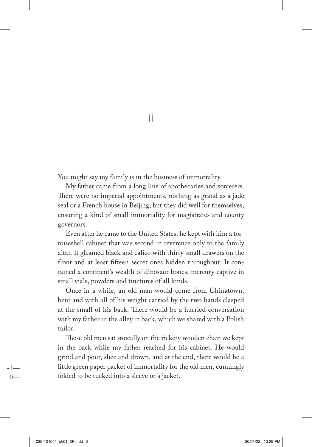You might say my family is in the business of immortality.

My father came from a long line of apothecaries and sorcerers. There were no imperial appointments, nothing as grand as a jade seal or a French house in Beijing, but they did well for themselves, ensuring a kind of small immortality for magistrates and county governors.

Even after he came to the United States, he kept with him a tortoiseshell cabinet that was second in reverence only to the family altar. It gleamed black and calico with thirty small drawers on the front and at least fifteen secret ones hidden throughout. It contained a continent's wealth of dinosaur bones, mercury captive in small vials, powders and tinctures of all kinds.

Once in a while, an old man would come from Chinatown, bent and with all of his weight carried by the two hands clasped at the small of his back. There would be a hurried conversation with my father in the alley in back, which we shared with a Polish tailor.

These old men sat stoically on the rickety wooden chair we kept in the back while my father reached for his cabinet. He would grind and pour, slice and drown, and at the end, there would be a little green paper packet of immortality for the old men, cunningly folded to be tucked into a sleeve or a jacket.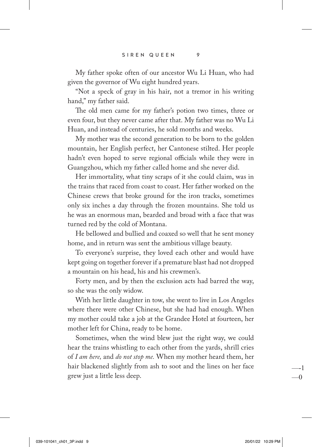My father spoke often of our ancestor Wu Li Huan, who had given the governor of Wu eight hundred years.

"Not a speck of gray in his hair, not a tremor in his writing hand," my father said.

The old men came for my father's potion two times, three or even four, but they never came after that. My father was no Wu Li Huan, and instead of centuries, he sold months and weeks.

My mother was the second generation to be born to the golden mountain, her English perfect, her Cantonese stilted. Her people hadn't even hoped to serve regional officials while they were in Guangzhou, which my father called home and she never did.

Her immortality, what tiny scraps of it she could claim, was in the trains that raced from coast to coast. Her father worked on the Chinese crews that broke ground for the iron tracks, sometimes only six inches a day through the frozen mountains. She told us he was an enormous man, bearded and broad with a face that was turned red by the cold of Montana.

He bellowed and bullied and coaxed so well that he sent money home, and in return was sent the ambitious village beauty.

To everyone's surprise, they loved each other and would have kept going on together forever if a premature blast had not dropped a mountain on his head, his and his crewmen's.

Forty men, and by then the exclusion acts had barred the way, so she was the only widow.

With her little daughter in tow, she went to live in Los Angeles where there were other Chinese, but she had had enough. When my mother could take a job at the Grandee Hotel at fourteen, her mother left for China, ready to be home.

Sometimes, when the wind blew just the right way, we could hear the trains whistling to each other from the yards, shrill cries of *I am here,* and *do not stop me.* When my mother heard them, her hair blackened slightly from ash to soot and the lines on her face grew just a little less deep.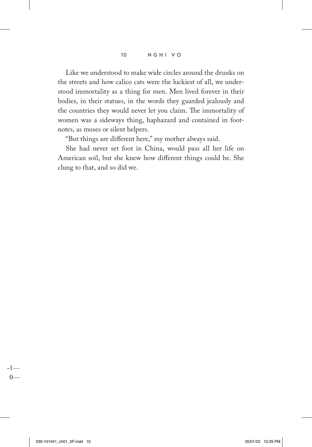Like we understood to make wide circles around the drunks on the streets and how calico cats were the luckiest of all, we understood immortality as a thing for men. Men lived forever in their bodies, in their statues, in the words they guarded jealously and the countries they would never let you claim. The immortality of women was a sideways thing, haphazard and contained in footnotes, as muses or silent helpers.

"But things are different here," my mother always said.

She had never set foot in China, would pass all her life on American soil, but she knew how different things could be. She clung to that, and so did we.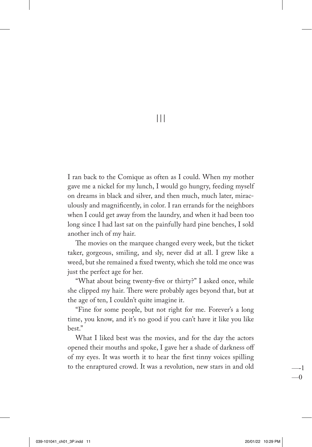I ran back to the Comique as often as I could. When my mother gave me a nickel for my lunch, I would go hungry, feeding myself on dreams in black and silver, and then much, much later, miraculously and magnificently, in color. I ran errands for the neighbors when I could get away from the laundry, and when it had been too long since I had last sat on the painfully hard pine benches, I sold another inch of my hair.

The movies on the marquee changed every week, but the ticket taker, gorgeous, smiling, and sly, never did at all. I grew like a weed, but she remained a fixed twenty, which she told me once was just the perfect age for her.

"What about being twenty-five or thirty?" I asked once, while she clipped my hair. There were probably ages beyond that, but at the age of ten, I couldn't quite imagine it.

"Fine for some people, but not right for me. Forever's a long time, you know, and it's no good if you can't have it like you like best."

What I liked best was the movies, and for the day the actors opened their mouths and spoke, I gave her a shade of darkness off of my eyes. It was worth it to hear the first tinny voices spilling to the enraptured crowd. It was a revolution, new stars in and old

III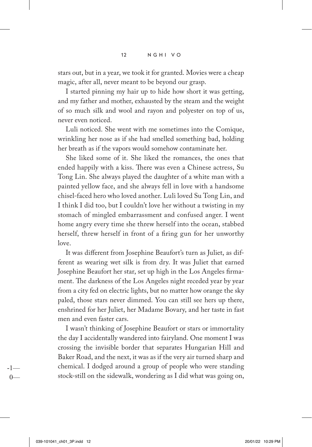stars out, but in a year, we took it for granted. Movies were a cheap magic, after all, never meant to be beyond our grasp.

I started pinning my hair up to hide how short it was getting, and my father and mother, exhausted by the steam and the weight of so much silk and wool and rayon and polyester on top of us, never even noticed.

Luli noticed. She went with me sometimes into the Comique, wrinkling her nose as if she had smelled something bad, holding her breath as if the vapors would somehow contaminate her.

She liked some of it. She liked the romances, the ones that ended happily with a kiss. There was even a Chinese actress, Su Tong Lin. She always played the daughter of a white man with a painted yellow face, and she always fell in love with a handsome chisel-faced hero who loved another. Luli loved Su Tong Lin, and I think I did too, but I couldn't love her without a twisting in my stomach of mingled embarrassment and confused anger. I went home angry every time she threw herself into the ocean, stabbed herself, threw herself in front of a firing gun for her unworthy love.

It was different from Josephine Beaufort's turn as Juliet, as different as wearing wet silk is from dry. It was Juliet that earned Josephine Beaufort her star, set up high in the Los Angeles firmament. The darkness of the Los Angeles night receded year by year from a city fed on electric lights, but no matter how orange the sky paled, those stars never dimmed. You can still see hers up there, enshrined for her Juliet, her Madame Bovary, and her taste in fast men and even faster cars.

I wasn't thinking of Josephine Beaufort or stars or immortality the day I accidentally wandered into fairyland. One moment I was crossing the invisible border that separates Hungarian Hill and Baker Road, and the next, it was as if the very air turned sharp and chemical. I dodged around a group of people who were standing stock-still on the sidewalk, wondering as I did what was going on,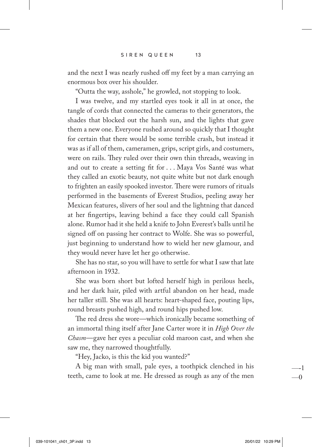and the next I was nearly rushed off my feet by a man carrying an enormous box over his shoulder.

"Outta the way, asshole," he growled, not stopping to look.

I was twelve, and my startled eyes took it all in at once, the tangle of cords that connected the cameras to their generators, the shades that blocked out the harsh sun, and the lights that gave them a new one. Everyone rushed around so quickly that I thought for certain that there would be some terrible crash, but instead it was as if all of them, cameramen, grips, script girls, and costumers, were on rails. They ruled over their own thin threads, weaving in and out to create a setting fit for . . . Maya Vos Santé was what they called an exotic beauty, not quite white but not dark enough to frighten an easily spooked investor. There were rumors of rituals performed in the basements of Everest Studios, peeling away her Mexican features, slivers of her soul and the lightning that danced at her fingertips, leaving behind a face they could call Spanish alone. Rumor had it she held a knife to John Everest's balls until he signed off on passing her contract to Wolfe. She was so powerful, just beginning to understand how to wield her new glamour, and they would never have let her go otherwise.

She has no star, so you will have to settle for what I saw that late afternoon in 1932.

She was born short but lofted herself high in perilous heels, and her dark hair, piled with artful abandon on her head, made her taller still. She was all hearts: heart-shaped face, pouting lips, round breasts pushed high, and round hips pushed low.

The red dress she wore—which ironically became something of an immortal thing itself after Jane Carter wore it in *High Over the Chasm*—gave her eyes a peculiar cold maroon cast, and when she saw me, they narrowed thoughtfully.

"Hey, Jacko, is this the kid you wanted?"

A big man with small, pale eyes, a toothpick clenched in his teeth, came to look at me. He dressed as rough as any of the men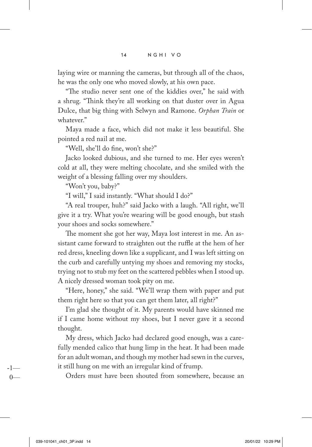laying wire or manning the cameras, but through all of the chaos, he was the only one who moved slowly, at his own pace.

"The studio never sent one of the kiddies over," he said with a shrug. "Think they're all working on that duster over in Agua Dulce, that big thing with Selwyn and Ramone. *Orphan Train* or whatever."

Maya made a face, which did not make it less beautiful. She pointed a red nail at me.

"Well, she'll do fine, won't she?"

Jacko looked dubious, and she turned to me. Her eyes weren't cold at all, they were melting chocolate, and she smiled with the weight of a blessing falling over my shoulders.

"Won't you, baby?"

"I will," I said instantly. "What should I do?"

"A real trouper, huh?" said Jacko with a laugh. "All right, we'll give it a try. What you're wearing will be good enough, but stash your shoes and socks somewhere."

The moment she got her way, Maya lost interest in me. An assistant came forward to straighten out the ruffle at the hem of her red dress, kneeling down like a supplicant, and I was left sitting on the curb and carefully untying my shoes and removing my stocks, trying not to stub my feet on the scattered pebbles when I stood up. A nicely dressed woman took pity on me.

"Here, honey," she said. "We'll wrap them with paper and put them right here so that you can get them later, all right?"

I'm glad she thought of it. My parents would have skinned me if I came home without my shoes, but I never gave it a second thought.

My dress, which Jacko had declared good enough, was a carefully mended calico that hung limp in the heat. It had been made for an adult woman, and though my mother had sewn in the curves, it still hung on me with an irregular kind of frump.

Orders must have been shouted from somewhere, because an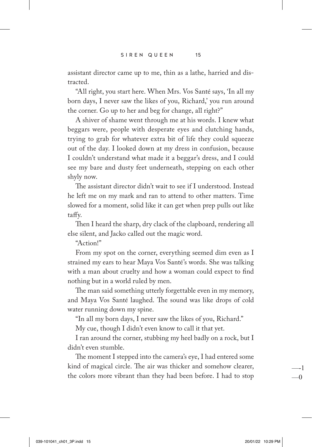assistant director came up to me, thin as a lathe, harried and distracted.

"All right, you start here. When Mrs. Vos Santé says, 'In all my born days, I never saw the likes of you, Richard,' you run around the corner. Go up to her and beg for change, all right?"

A shiver of shame went through me at his words. I knew what beggars were, people with desperate eyes and clutching hands, trying to grab for whatever extra bit of life they could squeeze out of the day. I looked down at my dress in confusion, because I couldn't understand what made it a beggar's dress, and I could see my bare and dusty feet underneath, stepping on each other shyly now.

The assistant director didn't wait to see if I understood. Instead he left me on my mark and ran to attend to other matters. Time slowed for a moment, solid like it can get when prep pulls out like taffy.

Then I heard the sharp, dry clack of the clapboard, rendering all else silent, and Jacko called out the magic word.

"Action!"

From my spot on the corner, everything seemed dim even as I strained my ears to hear Maya Vos Santé's words. She was talking with a man about cruelty and how a woman could expect to find nothing but in a world ruled by men.

The man said something utterly forgettable even in my memory, and Maya Vos Santé laughed. The sound was like drops of cold water running down my spine.

"In all my born days, I never saw the likes of you, Richard."

My cue, though I didn't even know to call it that yet.

I ran around the corner, stubbing my heel badly on a rock, but I didn't even stumble.

The moment I stepped into the camera's eye, I had entered some kind of magical circle. The air was thicker and somehow clearer, the colors more vibrant than they had been before. I had to stop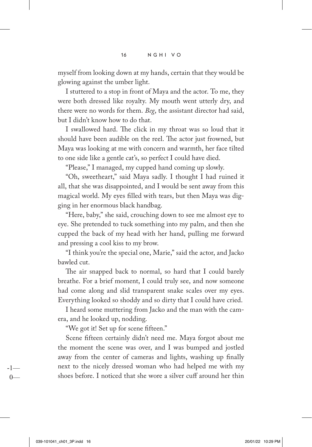myself from looking down at my hands, certain that they would be glowing against the umber light.

I stuttered to a stop in front of Maya and the actor. To me, they were both dressed like royalty. My mouth went utterly dry, and there were no words for them. *Beg*, the assistant director had said, but I didn't know how to do that.

I swallowed hard. The click in my throat was so loud that it should have been audible on the reel. The actor just frowned, but Maya was looking at me with concern and warmth, her face tilted to one side like a gentle cat's, so perfect I could have died.

"Please," I managed, my cupped hand coming up slowly.

"Oh, sweetheart," said Maya sadly. I thought I had ruined it all, that she was disappointed, and I would be sent away from this magical world. My eyes filled with tears, but then Maya was digging in her enormous black handbag.

"Here, baby," she said, crouching down to see me almost eye to eye. She pretended to tuck something into my palm, and then she cupped the back of my head with her hand, pulling me forward and pressing a cool kiss to my brow.

"I think you're the special one, Marie," said the actor, and Jacko bawled cut.

The air snapped back to normal, so hard that I could barely breathe. For a brief moment, I could truly see, and now someone had come along and slid transparent snake scales over my eyes. Everything looked so shoddy and so dirty that I could have cried.

I heard some muttering from Jacko and the man with the camera, and he looked up, nodding.

"We got it! Set up for scene fifteen."

Scene fifteen certainly didn't need me. Maya forgot about me the moment the scene was over, and I was bumped and jostled away from the center of cameras and lights, washing up finally next to the nicely dressed woman who had helped me with my shoes before. I noticed that she wore a silver cuff around her thin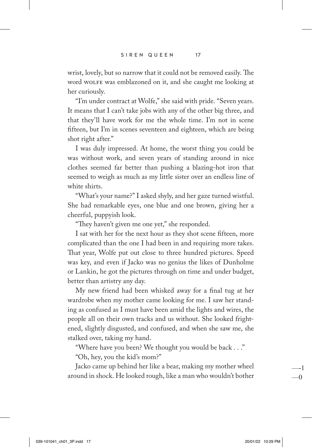wrist, lovely, but so narrow that it could not be removed easily. The word wolfe was emblazoned on it, and she caught me looking at her curiously.

"I'm under contract at Wolfe," she said with pride. "Seven years. It means that I can't take jobs with any of the other big three, and that they'll have work for me the whole time. I'm not in scene fifteen, but I'm in scenes seventeen and eighteen, which are being shot right after."

I was duly impressed. At home, the worst thing you could be was without work, and seven years of standing around in nice clothes seemed far better than pushing a blazing-hot iron that seemed to weigh as much as my little sister over an endless line of white shirts.

"What's your name?" I asked shyly, and her gaze turned wistful. She had remarkable eyes, one blue and one brown, giving her a cheerful, puppyish look.

"They haven't given me one yet," she responded.

I sat with her for the next hour as they shot scene fifteen, more complicated than the one I had been in and requiring more takes. That year, Wolfe put out close to three hundred pictures. Speed was key, and even if Jacko was no genius the likes of Dunholme or Lankin, he got the pictures through on time and under budget, better than artistry any day.

My new friend had been whisked away for a final tug at her wardrobe when my mother came looking for me. I saw her standing as confused as I must have been amid the lights and wires, the people all on their own tracks and us without. She looked frightened, slightly disgusted, and confused, and when she saw me, she stalked over, taking my hand.

"Where have you been? We thought you would be back . . ."

"Oh, hey, you the kid's mom?"

Jacko came up behind her like a bear, making my mother wheel around in shock. He looked rough, like a man who wouldn't bother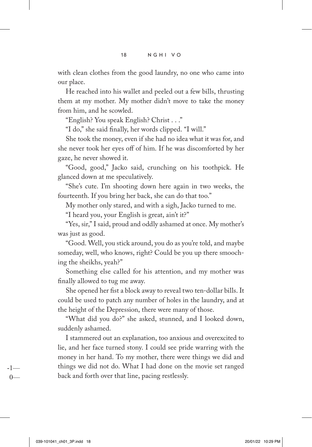with clean clothes from the good laundry, no one who came into our place.

He reached into his wallet and peeled out a few bills, thrusting them at my mother. My mother didn't move to take the money from him, and he scowled.

"English? You speak English? Christ . . ."

"I do," she said finally, her words clipped. "I will."

She took the money, even if she had no idea what it was for, and she never took her eyes off of him. If he was discomforted by her gaze, he never showed it.

"Good, good," Jacko said, crunching on his toothpick. He glanced down at me speculatively.

"She's cute. I'm shooting down here again in two weeks, the fourteenth. If you bring her back, she can do that too."

My mother only stared, and with a sigh, Jacko turned to me.

"I heard you, your English is great, ain't it?"

"Yes, sir," I said, proud and oddly ashamed at once. My mother's was just as good.

"Good. Well, you stick around, you do as you're told, and maybe someday, well, who knows, right? Could be you up there smooching the sheikhs, yeah?"

Something else called for his attention, and my mother was finally allowed to tug me away.

She opened her fist a block away to reveal two ten-dollar bills. It could be used to patch any number of holes in the laundry, and at the height of the Depression, there were many of those.

"What did you do?" she asked, stunned, and I looked down, suddenly ashamed.

I stammered out an explanation, too anxious and overexcited to lie, and her face turned stony. I could see pride warring with the money in her hand. To my mother, there were things we did and things we did not do. What I had done on the movie set ranged back and forth over that line, pacing restlessly.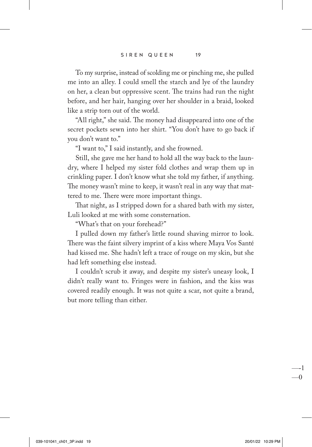To my surprise, instead of scolding me or pinching me, she pulled me into an alley. I could smell the starch and lye of the laundry on her, a clean but oppressive scent. The trains had run the night before, and her hair, hanging over her shoulder in a braid, looked like a strip torn out of the world.

"All right," she said. The money had disappeared into one of the secret pockets sewn into her shirt. "You don't have to go back if you don't want to."

"I want to," I said instantly, and she frowned.

Still, she gave me her hand to hold all the way back to the laundry, where I helped my sister fold clothes and wrap them up in crinkling paper. I don't know what she told my father, if anything. The money wasn't mine to keep, it wasn't real in any way that mattered to me. There were more important things.

That night, as I stripped down for a shared bath with my sister, Luli looked at me with some consternation.

"What's that on your forehead?"

I pulled down my father's little round shaving mirror to look. There was the faint silvery imprint of a kiss where Maya Vos Santé had kissed me. She hadn't left a trace of rouge on my skin, but she had left something else instead.

I couldn't scrub it away, and despite my sister's uneasy look, I didn't really want to. Fringes were in fashion, and the kiss was covered readily enough. It was not quite a scar, not quite a brand, but more telling than either.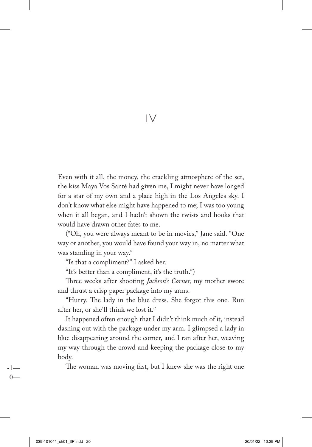Even with it all, the money, the crackling atmosphere of the set,

IV

the kiss Maya Vos Santé had given me, I might never have longed for a star of my own and a place high in the Los Angeles sky. I don't know what else might have happened to me; I was too young when it all began, and I hadn't shown the twists and hooks that would have drawn other fates to me.

("Oh, you were always meant to be in movies," Jane said. "One way or another, you would have found your way in, no matter what was standing in your way."

"Is that a compliment?" I asked her.

"It's better than a compliment, it's the truth.")

Three weeks after shooting *Jackson's Corner,* my mother swore and thrust a crisp paper package into my arms.

"Hurry. The lady in the blue dress. She forgot this one. Run after her, or she'll think we lost it."

It happened often enough that I didn't think much of it, instead dashing out with the package under my arm. I glimpsed a lady in blue disappearing around the corner, and I ran after her, weaving my way through the crowd and keeping the package close to my body.

The woman was moving fast, but I knew she was the right one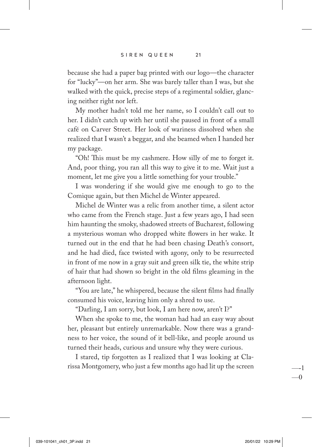because she had a paper bag printed with our logo—the character for "lucky"—on her arm. She was barely taller than I was, but she walked with the quick, precise steps of a regimental soldier, glancing neither right nor left.

My mother hadn't told me her name, so I couldn't call out to her. I didn't catch up with her until she paused in front of a small café on Carver Street. Her look of wariness dissolved when she realized that I wasn't a beggar, and she beamed when I handed her my package.

"Oh! This must be my cashmere. How silly of me to forget it. And, poor thing, you ran all this way to give it to me. Wait just a moment, let me give you a little something for your trouble."

I was wondering if she would give me enough to go to the Comique again, but then Michel de Winter appeared.

Michel de Winter was a relic from another time, a silent actor who came from the French stage. Just a few years ago, I had seen him haunting the smoky, shadowed streets of Bucharest, following a mysterious woman who dropped white flowers in her wake. It turned out in the end that he had been chasing Death's consort, and he had died, face twisted with agony, only to be resurrected in front of me now in a gray suit and green silk tie, the white strip of hair that had shown so bright in the old films gleaming in the afternoon light.

"You are late," he whispered, because the silent films had finally consumed his voice, leaving him only a shred to use.

"Darling, I am sorry, but look, I am here now, aren't I?"

When she spoke to me, the woman had had an easy way about her, pleasant but entirely unremarkable. Now there was a grandness to her voice, the sound of it bell-like, and people around us turned their heads, curious and unsure why they were curious.

I stared, tip forgotten as I realized that I was looking at Clarissa Montgomery, who just a few months ago had lit up the screen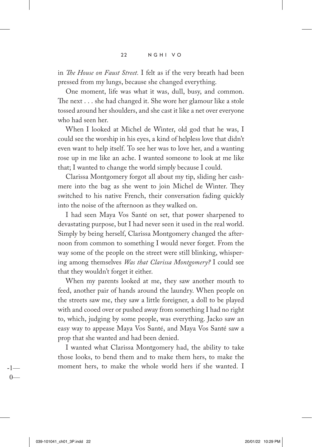in *The House on Faust Street.* I felt as if the very breath had been pressed from my lungs, because she changed everything.

One moment, life was what it was, dull, busy, and common. The next . . . she had changed it. She wore her glamour like a stole tossed around her shoulders, and she cast it like a net over everyone who had seen her.

When I looked at Michel de Winter, old god that he was, I could see the worship in his eyes, a kind of helpless love that didn't even want to help itself. To see her was to love her, and a wanting rose up in me like an ache. I wanted someone to look at me like that; I wanted to change the world simply because I could.

Clarissa Montgomery forgot all about my tip, sliding her cashmere into the bag as she went to join Michel de Winter. They switched to his native French, their conversation fading quickly into the noise of the afternoon as they walked on.

I had seen Maya Vos Santé on set, that power sharpened to devastating purpose, but I had never seen it used in the real world. Simply by being herself, Clarissa Montgomery changed the afternoon from common to something I would never forget. From the way some of the people on the street were still blinking, whispering among themselves *Was that Clarissa Montgomery?* I could see that they wouldn't forget it either.

When my parents looked at me, they saw another mouth to feed, another pair of hands around the laundry. When people on the streets saw me, they saw a little foreigner, a doll to be played with and cooed over or pushed away from something I had no right to, which, judging by some people, was everything. Jacko saw an easy way to appease Maya Vos Santé, and Maya Vos Santé saw a prop that she wanted and had been denied.

I wanted what Clarissa Montgomery had, the ability to take those looks, to bend them and to make them hers, to make the moment hers, to make the whole world hers if she wanted. I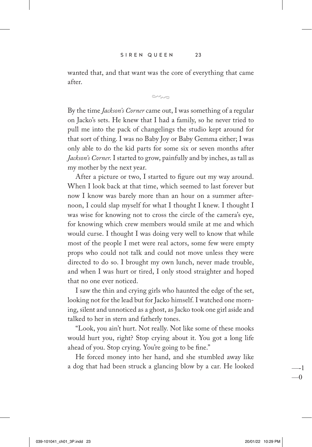wanted that, and that want was the core of everything that came after.

**CHANG** 

By the time *Jackson's Corner* came out, I was something of a regular on Jacko's sets. He knew that I had a family, so he never tried to pull me into the pack of changelings the studio kept around for that sort of thing. I was no Baby Joy or Baby Gemma either; I was only able to do the kid parts for some six or seven months after *Jackson's Corner*. I started to grow, painfully and by inches, as tall as my mother by the next year.

After a picture or two, I started to figure out my way around. When I look back at that time, which seemed to last forever but now I know was barely more than an hour on a summer afternoon, I could slap myself for what I thought I knew. I thought I was wise for knowing not to cross the circle of the camera's eye, for knowing which crew members would smile at me and which would curse. I thought I was doing very well to know that while most of the people I met were real actors, some few were empty props who could not talk and could not move unless they were directed to do so. I brought my own lunch, never made trouble, and when I was hurt or tired, I only stood straighter and hoped that no one ever noticed.

I saw the thin and crying girls who haunted the edge of the set, looking not for the lead but for Jacko himself. I watched one morning, silent and unnoticed as a ghost, as Jacko took one girl aside and talked to her in stern and fatherly tones.

"Look, you ain't hurt. Not really. Not like some of these mooks would hurt you, right? Stop crying about it. You got a long life ahead of you. Stop crying. You're going to be fine."

He forced money into her hand, and she stumbled away like a dog that had been struck a glancing blow by a car. He looked